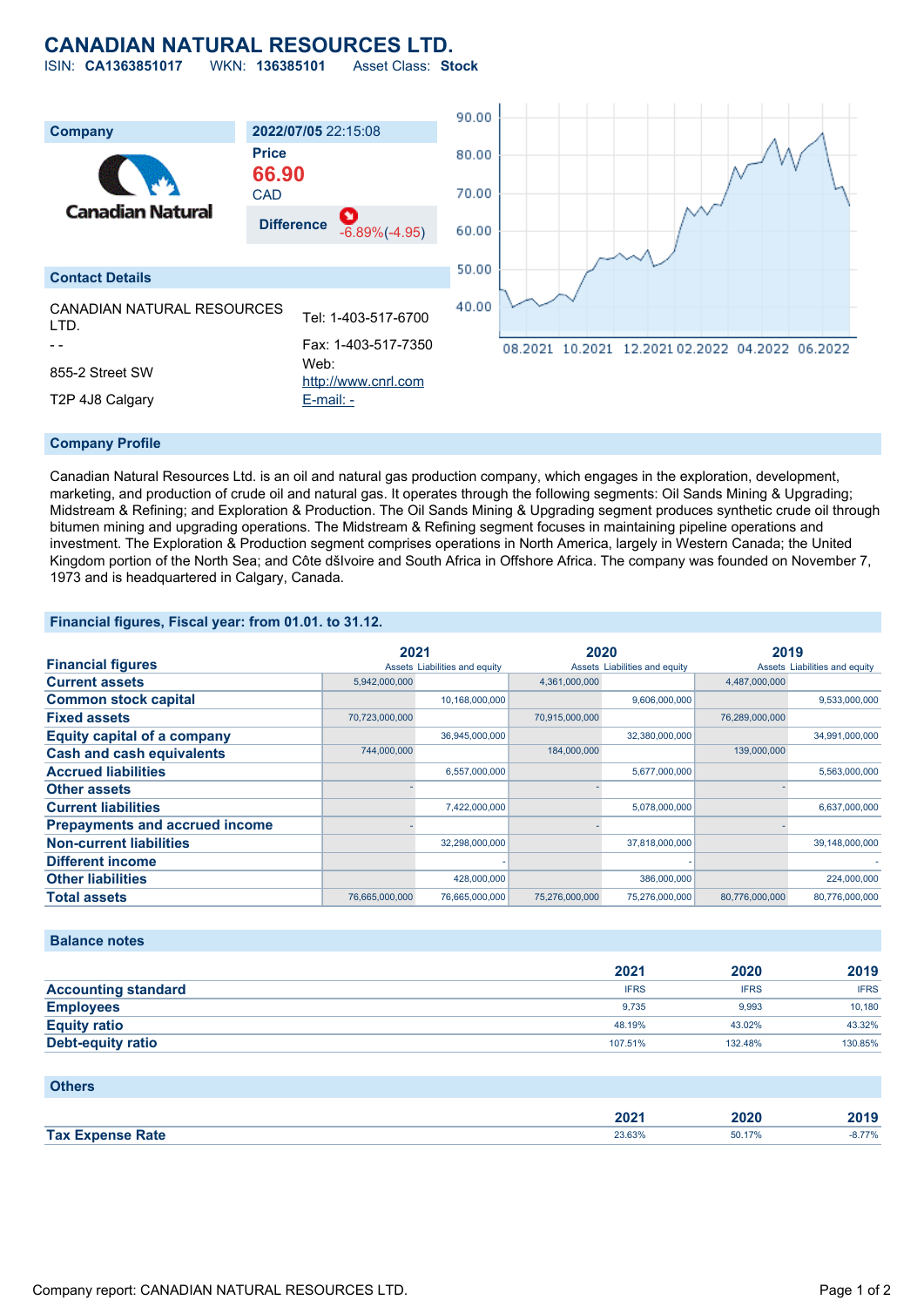## **CANADIAN NATURAL RESOURCES LTD.**

ISIN: **CA1363851017** WKN: **136385101** Asset Class: **Stock** 90.00 **Company 2022/07/05** 22:15:08 **Price** 80.00 **66.90**



#### **Company Profile**

Canadian Natural Resources Ltd. is an oil and natural gas production company, which engages in the exploration, development, marketing, and production of crude oil and natural gas. It operates through the following segments: Oil Sands Mining & Upgrading; Midstream & Refining; and Exploration & Production. The Oil Sands Mining & Upgrading segment produces synthetic crude oil through bitumen mining and upgrading operations. The Midstream & Refining segment focuses in maintaining pipeline operations and investment. The Exploration & Production segment comprises operations in North America, largely in Western Canada; the United Kingdom portion of the North Sea; and Côte dšIvoire and South Africa in Offshore Africa. The company was founded on November 7, 1973 and is headquartered in Calgary, Canada.

#### **Financial figures, Fiscal year: from 01.01. to 31.12.**

|                                       | 2021           |                               | 2020           |                               | 2019           |                               |
|---------------------------------------|----------------|-------------------------------|----------------|-------------------------------|----------------|-------------------------------|
| <b>Financial figures</b>              |                | Assets Liabilities and equity |                | Assets Liabilities and equity |                | Assets Liabilities and equity |
| <b>Current assets</b>                 | 5,942,000,000  |                               | 4,361,000,000  |                               | 4,487,000,000  |                               |
| <b>Common stock capital</b>           |                | 10,168,000,000                |                | 9,606,000,000                 |                | 9,533,000,000                 |
| <b>Fixed assets</b>                   | 70,723,000,000 |                               | 70,915,000,000 |                               | 76,289,000,000 |                               |
| <b>Equity capital of a company</b>    |                | 36,945,000,000                |                | 32,380,000,000                |                | 34,991,000,000                |
| <b>Cash and cash equivalents</b>      | 744,000,000    |                               | 184,000,000    |                               | 139,000,000    |                               |
| <b>Accrued liabilities</b>            |                | 6,557,000,000                 |                | 5,677,000,000                 |                | 5,563,000,000                 |
| <b>Other assets</b>                   |                |                               |                |                               |                |                               |
| <b>Current liabilities</b>            |                | 7,422,000,000                 |                | 5,078,000,000                 |                | 6,637,000,000                 |
| <b>Prepayments and accrued income</b> |                |                               |                |                               |                |                               |
| <b>Non-current liabilities</b>        |                | 32,298,000,000                |                | 37,818,000,000                |                | 39,148,000,000                |
| <b>Different income</b>               |                |                               |                |                               |                |                               |
| <b>Other liabilities</b>              |                | 428,000,000                   |                | 386,000,000                   |                | 224,000,000                   |
| <b>Total assets</b>                   | 76,665,000,000 | 76,665,000,000                | 75,276,000,000 | 75,276,000,000                | 80,776,000,000 | 80,776,000,000                |

#### **Balance notes**

|                            | 2021        | 2020        | 2019        |
|----------------------------|-------------|-------------|-------------|
| <b>Accounting standard</b> | <b>IFRS</b> | <b>IFRS</b> | <b>IFRS</b> |
| <b>Employees</b>           | 9.735       | 9.993       | 10,180      |
| <b>Equity ratio</b>        | 48.19%      | 43.02%      | 43.32%      |
| <b>Debt-equity ratio</b>   | 107.51%     | 132.48%     | 130.85%     |

#### **Others**

|            | 2022<br>ZUZ I | .<br>.uzu | .<br>1П4<br><b>2019</b> |
|------------|---------------|-----------|-------------------------|
| <b>Tax</b> |               | 50.17%    | .                       |
| Rate       | 23.63%        |           | - 79                    |